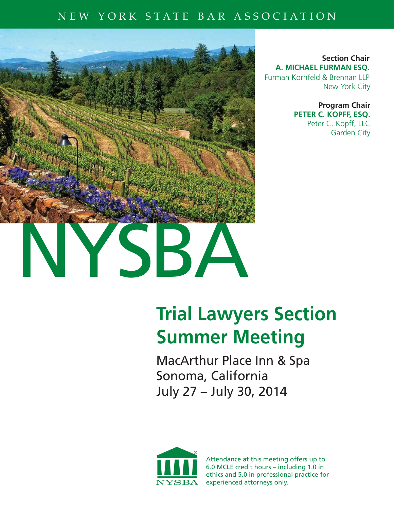### NEW YORK STATE BAR ASSOCIATION



**Section Chair A. MICHAEL FURMAN ESQ.** Furman Kornfeld & Brennan LLP New York City

> **Program Chair PETER C. KOPFF, ESQ.** Peter C. Kopff, LLC Garden City

# **Trial Lawyers Section Summer Meeting**

MacArthur Place Inn & Spa Sonoma, California July 27 – July 30, 2014



Attendance at this meeting offers up to 6.0 MCLE credit hours – including 1.0 in ethics and 5.0 in professional practice for experienced attorneys only.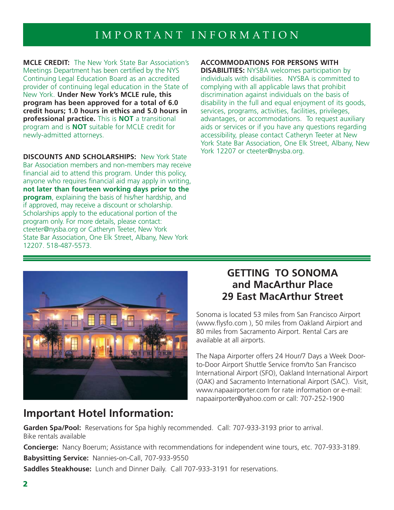# IMPORTANT INFORMATION

**MCLE CREDIT:** The New York State Bar Association's Meetings Department has been certified by the NYS Continuing Legal Education Board as an accredited provider of continuing legal education in the State of New York. **Under New York's MCLE rule, this program has been approved for a total of 6.0 credit hours; 1.0 hours in ethics and 5.0 hours in professional practice.**This is **NOT** a transitional program and is **NOT** suitable for MCLE credit for newly-admitted attorneys.

**DISCOUNTS AND SCHOLARSHIPS:** New York State Bar Association members and non-members may receive financial aid to attend this program. Under this policy, anyone who requires financial aid may apply in writing, **not later than fourteen working days prior to the program**, explaining the basis of his/her hardship, and if approved, may receive a discount or scholarship. Scholarships apply to the educational portion of the program only. For more details, please contact: cteeter@nysba.org or Catheryn Teeter, New York State Bar Association, One Elk Street, Albany, New York 12207. 518-487-5573.

### **ACCOMMODATIONS FOR PERSONS WITH**

**DISABILITIES:** NYSBA welcomes participation by individuals with disabilities. NYSBA is committed to complying with all applicable laws that prohibit discrimination against individuals on the basis of disability in the full and equal enjoyment of its goods, services, programs, activities, facilities, privileges, advantages, or accommodations. To request auxiliary aids or services or if you have any questions regarding accessibility, please contact Catheryn Teeter at New York State Bar Association, One Elk Street, Albany, New York 12207 or cteeter@nysba.org.



### **GETTING TO SONOMA and MacArthur Place 29 East MacArthur Street**

Sonoma is located 53 miles from San Francisco Airport (www.flysfo.com), 50 miles from Oakland Airpiort and 80 miles from Sacramento Airport. Rental Cars are available at all airports.

The Napa Airporter offers 24 Hour/7 Days a Week Doorto-Door Airport Shuttle Service from/to San Francisco International Airport (SFO), Oakland International Airport (OAK) and Sacramento International Airport (SAC). Visit, www.napaairporter.com for rate information or e-mail: napaairporter@yahoo.com or call: 707-252-1900

### **Important Hotel Information:**

**Garden Spa/Pool:** Reservations for Spa highly recommended. Call: 707-933-3193 prior to arrival. Bike rentals available

**Concierge:** Nancy Boerum; Assistance with recommendations for independent wine tours, etc. 707-933-3189. **Babysitting Service:** Nannies-on-Call, 707-933-9550

**Saddles Steakhouse:** Lunch and Dinner Daily. Call 707-933-3191 for reservations.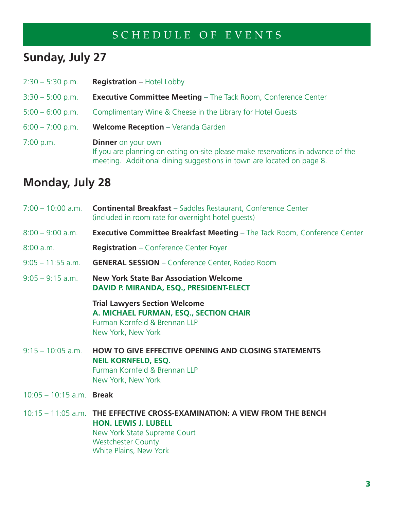# **Sunday, July 27**

| $2:30 - 5:30$ p.m. | <b>Registration</b> – Hotel Lobby                                                                                                                                                      |
|--------------------|----------------------------------------------------------------------------------------------------------------------------------------------------------------------------------------|
| $3:30 - 5:00$ p.m. | <b>Executive Committee Meeting - The Tack Room, Conference Center</b>                                                                                                                  |
| $5:00 - 6:00$ p.m. | Complimentary Wine & Cheese in the Library for Hotel Guests                                                                                                                            |
| $6:00 - 7:00$ p.m. | <b>Welcome Reception</b> - Veranda Garden                                                                                                                                              |
| 7:00 p.m.          | <b>Dinner</b> on your own<br>If you are planning on eating on-site please make reservations in advance of the<br>meeting. Additional dining suggestions in town are located on page 8. |

# **Monday, July 28**

| 7:00 - 10:00 a.m. <b>Continental Breakfast</b> - Saddles Restaurant, Conference Center<br>(included in room rate for overnight hotel guests)                                                    |
|-------------------------------------------------------------------------------------------------------------------------------------------------------------------------------------------------|
| <b>Executive Committee Breakfast Meeting - The Tack Room, Conference Center</b>                                                                                                                 |
| <b>Registration</b> - Conference Center Foyer                                                                                                                                                   |
| <b>GENERAL SESSION</b> - Conference Center, Rodeo Room                                                                                                                                          |
| <b>New York State Bar Association Welcome</b><br>DAVID P. MIRANDA, ESQ., PRESIDENT-ELECT                                                                                                        |
| <b>Trial Lawyers Section Welcome</b><br>A. MICHAEL FURMAN, ESQ., SECTION CHAIR<br>Furman Kornfeld & Brennan LLP<br>New York, New York                                                           |
| <b>HOW TO GIVE EFFECTIVE OPENING AND CLOSING STATEMENTS</b><br><b>NEIL KORNFELD, ESQ.</b><br>Furman Kornfeld & Brennan LLP<br>New York, New York                                                |
| $10:05 - 10:15$ a.m. Break                                                                                                                                                                      |
| 10:15 – 11:05 a.m. THE EFFECTIVE CROSS-EXAMINATION: A VIEW FROM THE BENCH<br><b>HON. LEWIS J. LUBELL</b><br>New York State Supreme Court<br><b>Westchester County</b><br>White Plains, New York |
|                                                                                                                                                                                                 |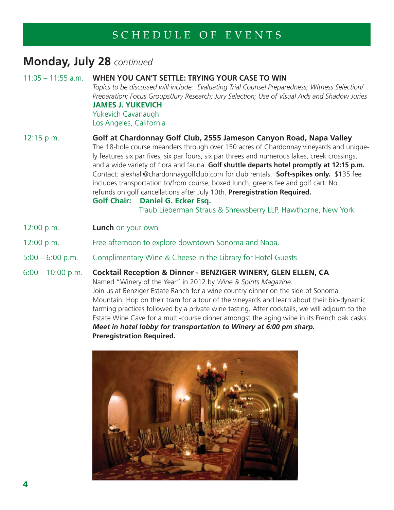### **Monday, July 28** *continued*

| $11:05 - 11:55$ a.m. | WHEN YOU CAN'T SETTLE: TRYING YOUR CASE TO WIN<br>Topics to be discussed will include: Evaluating Trial Counsel Preparedness; Witness Selection/<br>Preparation; Focus Groups/Jury Research; Jury Selection; Use of Visual Aids and Shadow Juries<br><b>JAMES J. YUKEVICH</b><br>Yukevich Cavanaugh<br>Los Angeles, California                                                                                                                                                                                                                                                                                                                                                                                                              |
|----------------------|---------------------------------------------------------------------------------------------------------------------------------------------------------------------------------------------------------------------------------------------------------------------------------------------------------------------------------------------------------------------------------------------------------------------------------------------------------------------------------------------------------------------------------------------------------------------------------------------------------------------------------------------------------------------------------------------------------------------------------------------|
| 12:15 p.m.           | Golf at Chardonnay Golf Club, 2555 Jameson Canyon Road, Napa Valley<br>The 18-hole course meanders through over 150 acres of Chardonnay vineyards and unique-<br>ly features six par fives, six par fours, six par threes and numerous lakes, creek crossings,<br>and a wide variety of flora and fauna. Golf shuttle departs hotel promptly at 12:15 p.m.<br>Contact: alexhall@chardonnaygolfclub.com for club rentals. <b>Soft-spikes only.</b> \$135 fee<br>includes transportation to/from course, boxed lunch, greens fee and golf cart. No<br>refunds on golf cancellations after July 10th. Preregistration Required.<br><b>Golf Chair:</b><br>Daniel G. Ecker Esg.<br>Traub Lieberman Straus & Shrewsberry LLP, Hawthorne, New York |
| 12:00 p.m.           | <b>Lunch</b> on your own                                                                                                                                                                                                                                                                                                                                                                                                                                                                                                                                                                                                                                                                                                                    |
| 12:00 p.m.           | Free afternoon to explore downtown Sonoma and Napa.                                                                                                                                                                                                                                                                                                                                                                                                                                                                                                                                                                                                                                                                                         |
| $5:00 - 6:00$ p.m.   | Complimentary Wine & Cheese in the Library for Hotel Guests                                                                                                                                                                                                                                                                                                                                                                                                                                                                                                                                                                                                                                                                                 |

6:00 – 10:00 p.m. **Cocktail Reception & Dinner - BENZIGER WINERY, GLEN ELLEN, CA** Named "Winery of the Year" in 2012 by *Wine & Spirits Magazine*. Join us at Benziger Estate Ranch for a wine country dinner on the side of Sonoma Mountain. Hop on their tram for a tour of the vineyards and learn about their bio-dynamic farming practices followed by a private wine tasting. After cocktails, we will adjourn to the Estate Wine Cave for a multi-course dinner amongst the aging wine in its French oak casks. *Meet in hotel lobby for transportation to Winery at 6:00 pm sharp.*  **Preregistration Required.**

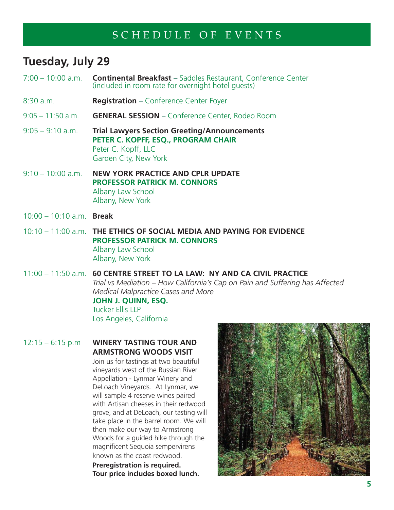# **Tuesday, July 29**

- 7:00 10:00 a.m. **Continental Breakfast** Saddles Restaurant, Conference Center (included in room rate for overnight hotel guests)
- 8:30 a.m. **Registration** Conference Center Foyer
- 9:05 11:50 a.m. **GENERAL SESSION** Conference Center, Rodeo Room
- 9:05 9:10 a.m. **Trial Lawyers Section Greeting/Announcements PETER C. KOPFF, ESQ., PROGRAM CHAIR**  Peter C. Kopff, LLC Garden City, New York
- 9:10 10:00 a.m. **NEW YORK PRACTICE AND CPLR UPDATE PROFESSOR PATRICK M. CONNORS** Albany Law School Albany, New York
- 10:00 10:10 a.m. **Break**
- 10:10 11:00 a.m. **THE ETHICS OF SOCIAL MEDIA AND PAYING FOR EVIDENCE PROFESSOR PATRICK M. CONNORS** Albany Law School Albany, New York
- 11:00 11:50 a.m. **60 CENTRE STREET TO LA LAW: NY AND CA CIVIL PRACTICE**  *Trial vs Mediation – How California's Cap on Pain and Suffering has Affected Medical Malpractice Cases and More*

### **JOHN J. QUINN, ESQ.**

Tucker Ellis LLP Los Angeles, California

12:15 – 6:15 p.m **WINERY TASTING TOUR AND ARMSTRONG WOODS VISIT**

> Join us for tastings at two beautiful vineyards west of the Russian River Appellation - Lynmar Winery and DeLoach Vineyards. At Lynmar, we will sample 4 reserve wines paired with Artisan cheeses in their redwood grove, and at DeLoach, our tasting will take place in the barrel room. We will then make our way to Armstrong Woods for a guided hike through the magnificent Sequoia sempervirens known as the coast redwood.

**Preregistration is required. Tour price includes boxed lunch.** 

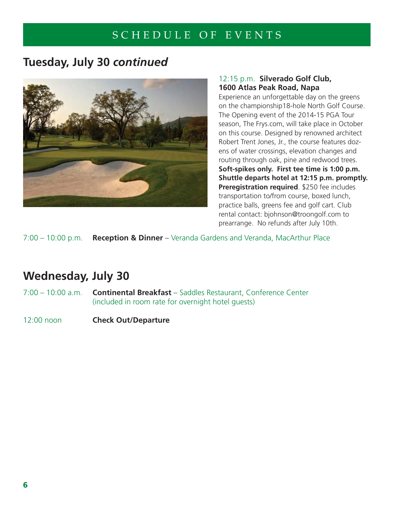# **Tuesday, July 30** *continued*



### 12:15 p.m. **Silverado Golf Club, 1600 Atlas Peak Road, Napa**

Experience an unforgettable day on the greens on the championship18-hole North Golf Course. The Opening event of the 2014-15 PGA Tour season, The Frys.com, will take place in October on this course. Designed by renowned architect Robert Trent Jones, Jr., the course features dozens of water crossings, elevation changes and routing through oak, pine and redwood trees. **Soft-spikes only. First tee time is 1:00 p.m.** **Shuttle departs hotel at 12:15 p.m. promptly. Preregistration required**. \$250 fee includes transportation to/from course, boxed lunch, practice balls, greens fee and golf cart. Club rental contact: bjohnson@troongolf.com to prearrange. No refunds after July 10th.

7:00 – 10:00 p.m. **Reception & Dinner** – Veranda Gardens and Veranda, MacArthur Place

# **Wednesday, July 30**

- 7:00 10:00 a.m. **Continental Breakfast** Saddles Restaurant, Conference Center (included in room rate for overnight hotel guests)
- 12:00 noon **Check Out/Departure**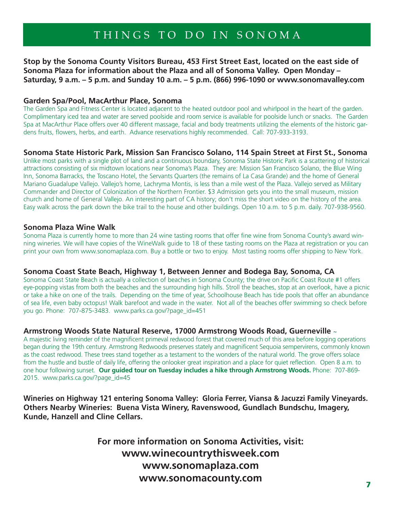# THINGS TO DO IN SONOMA

**Stop by the Sonoma County Visitors Bureau, 453 First Street East, located on the east side of Sonoma Plaza for information about the Plaza and all of Sonoma Valley. Open Monday – Saturday, 9 a.m. – 5 p.m. and Sunday 10 a.m. – 5 p.m. (866) 996-1090 or www.sonomavalley.com**

#### **Garden Spa/Pool, MacArthur Place, Sonoma**

The Garden Spa and Fitness Center is located adjacent to the heated outdoor pool and whirlpool in the heart of the garden. Complimentary iced tea and water are served poolside and room service is available for poolside lunch or snacks. The Garden Spa at MacArthur Place offers over 40 different massage, facial and body treatments utilizing the elements of the historic gardens fruits, flowers, herbs, and earth. Advance reservations highly recommended. Call: 707-933-3193.

#### **Sonoma State Historic Park, Mission San Francisco Solano, 114 Spain Street at First St., Sonoma**

Unlike most parks with a single plot of land and a continuous boundary, Sonoma State Historic Park is a scattering of historical attractions consisting of six midtown locations near Sonoma's Plaza. They are: Mission San Francisco Solano, the Blue Wing Inn, Sonoma Barracks, the Toscano Hotel, the Servants Quarters (the remains of La Casa Grande) and the home of General Mariano Guadalupe Vallejo. Vallejo's home, Lachryma Montis, is less than a mile west of the Plaza. Vallejo served as Military Commander and Director of Colonization of the Northern Frontier. \$3 Admission gets you into the small museum, mission church and home of General Vallejo. An interesting part of CA history; don't miss the short video on the history of the area. Easy walk across the park down the bike trail to the house and other buildings. Open 10 a.m. to 5 p.m. daily. 707-938-9560.

#### **Sonoma Plaza Wine Walk**

Sonoma Plaza is currently home to more than 24 wine tasting rooms that offer fine wine from Sonoma County's award winning wineries. We will have copies of the WineWalk guide to 18 of these tasting rooms on the Plaza at registration or you can print your own from www.sonomaplaza.com. Buy a bottle or two to enjoy. Most tasting rooms offer shipping to New York.

#### **Sonoma Coast State Beach, Highway 1, Between Jenner and Bodega Bay, Sonoma, CA**

Sonoma Coast State Beach is actually a collection of beaches in Sonoma County; the drive on Pacific Coast Route #1 offers eye-popping vistas from both the beaches and the surrounding high hills. Stroll the beaches, stop at an overlook, have a picnic or take a hike on one of the trails. Depending on the time of year, Schoolhouse Beach has tide pools that offer an abundance of sea life, even baby octopus! Walk barefoot and wade in the water. Not all of the beaches offer swimming so check before you go. Phone: 707-875-3483. www.parks.ca.gov/?page\_id=451

#### **Armstrong Woods State Natural Reserve, 17000 Armstrong Woods Road, Guerneville** ~

A majestic living reminder of the magnificent primeval redwood forest that covered much of this area before logging operations began during the 19th century. Armstrong Redwoods preserves stately and magnificent Sequoia sempervirens, commonly known as the coast redwood. These trees stand together as a testament to the wonders of the natural world. The grove offers solace from the hustle and bustle of daily life, offering the onlooker great inspiration and a place for quiet reflection. Open 8 a.m. to one hour following sunset. **Our guided tour on Tuesday includes a hike through Armstrong Woods.** Phone: 707-869- 2015. www.parks.ca.gov/?page\_id=45

**Wineries on Highway 121 entering Sonoma Valley: Gloria Ferrer, Viansa & Jacuzzi Family Vineyards. Others Nearby Wineries: Buena Vista Winery, Ravenswood, Gundlach Bundschu, Imagery, Kunde, Hanzell and Cline Cellars.**

> **For more information on Sonoma Activities, visit: www.winecountrythisweek.com www.sonomaplaza.com www.sonomacounty.com**